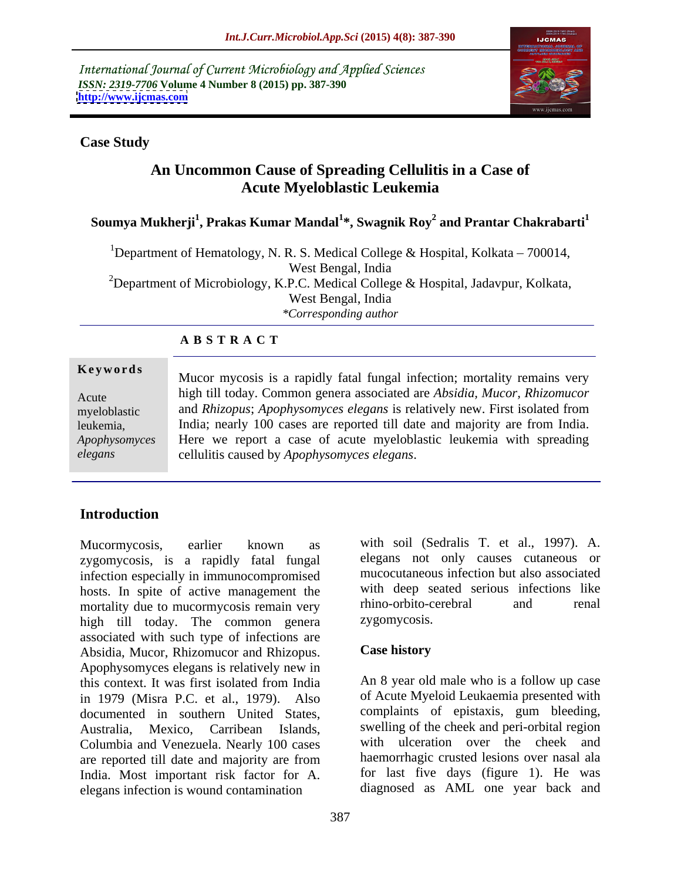International Journal of Current Microbiology and Applied Sciences *ISSN: 2319-7706* **Volume 4 Number 8 (2015) pp. 387-390 <http://www.ijcmas.com>**



### **Case Study**

# **An Uncommon Cause of Spreading Cellulitis in a Case of Acute Myeloblastic Leukemia**

# **Soumya Mukherji<sup>1</sup> , Prakas Kumar Mandal<sup>1</sup> \*, Swagnik Roy<sup>2</sup> and Prantar Chakrabarti<sup>1</sup>**

<sup>1</sup>Department of Hematology, N. R. S. Medical College & Hospital, Kolkata – 700014, West Bengal, India <sup>2</sup>Department of Microbiology, K.P.C. Medical College & Hospital, Jadavpur, Kolkata, West Bengal, India *\*Corresponding author*

## **A B S T R A C T**

leukemia, *elegans*

Mucor mycosis is a rapidly fatal fungal infection; mortality remains very high till today. Common genera associated are *Absidia, Mucor, Rhizomucor* Acute and *Rhizopus*; *Apophysomyces elegans* is relatively new. First isolated from myeloblastic India; nearly 100 cases are reported till date and majority are from India. Here we report a case of acute myeloblastic leukemia with spreading *Apophysomyces*  **Keywords**<br>
Mucor mycosis is a rapidly fatal fungal infection; mortality remains very<br>
high till today. Common genera associated are *Absidia*, *Mucor*, *Rhizomucor*<br>
myeloblastic and *Rhizopus*; *Apophysomyces elegans* is

## **Introduction**

zygomycosis, is a rapidly fatal fungal infection especially in immunocompromised hosts. In spite of active management the with deep seated serious infections like<br>mortality due to mucormycosis remain very intimo-orbito-cerebral and renal mortality due to mucormycosis remain very mino-orbito-c<br>high till today. The common genera zygomycosis. high till today. The common genera Associated with such type of infections are<br>Absidia Mucor Rhizomucor and Rhizonus Case history Absidia, Mucor, Rhizomucor and Rhizopus. Apophysomyces elegans is relatively new in this context. It was first isolated from India heads An 8 year old male who is a follow up case in 1979 (Misra P.C. et al., 1979). Also documented in southern United States, Australia, Mexico, Carribean Islands, swelling of the cheek and peri-orbital region Columbia and Venezuela. Nearly 100 cases are reported till date and majority are from India. Most important risk factor for A. elegans infection is wound contamination

Mucormycosis, earlier known as with soil (Sedralis T. et al., 1997). A. elegans not only causes cutaneous or mucocutaneous infection but also associated with deep seated serious infections like rhino-orbito-cerebral and renal zygomycosis.

## **Case history**

An 8 year old male who is a follow up case of Acute Myeloid Leukaemia presented with complaints of epistaxis, gum bleeding, with ulceration over the cheek and haemorrhagic crusted lesions over nasal ala for last five days (figure 1). He was diagnosed as AML one year back and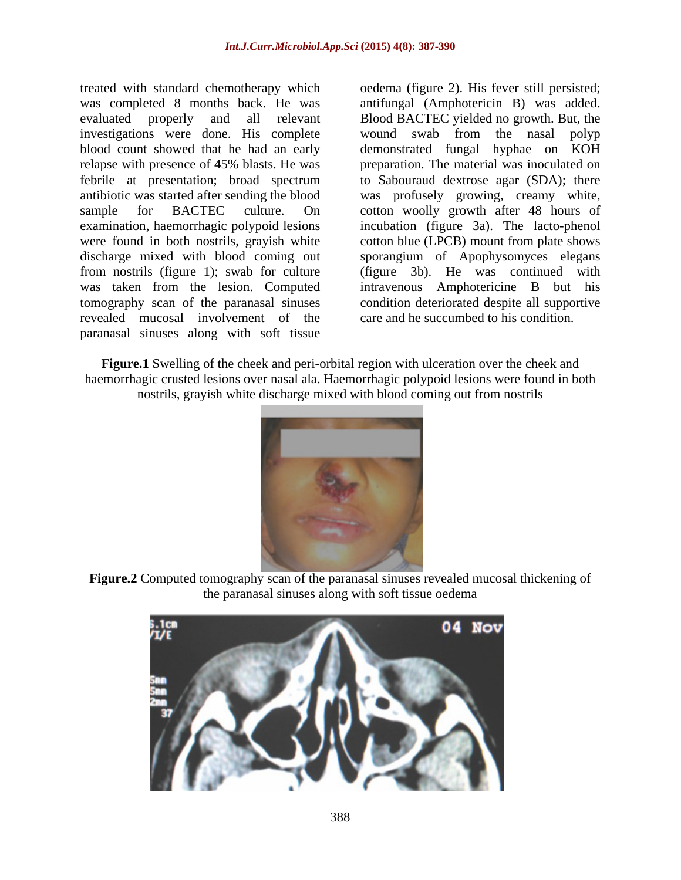relapse with presence of 45% blasts. He was were found in both nostrils, grayish white revealed mucosal involvement of the paranasal sinuses along with soft tissue

treated with standard chemotherapy which oedema (figure 2). His fever still persisted; was completed 8 months back. He was antifungal (Amphotericin B) was added. evaluated properly and all relevant Blood BACTEC yielded no growth. But, the investigations were done. His complete wound swab from the nasal polyp blood count showed that he had an early demonstrated fungal hyphae on KOH febrile at presentation; broad spectrum to Sabouraud dextrose agar (SDA); there antibiotic was started after sending the blood was profusely growing, creamy white, sample for BACTEC culture. On cotton woolly growth after 48 hours of examination, haemorrhagic polypoid lesions incubation (figure 3a). The lacto-phenol discharge mixed with blood coming out sporangium of Apophysomyces elegans from nostrils (figure 1); swab for culture (figure 3b). He was continued with was taken from the lesion. Computed intravenous Amphotericine B but his tomography scan of the paranasal sinuses condition deteriorated despite all supportive preparation. The material was inoculated on cotton blue (LPCB) mount from plate shows care and he succumbed to his condition.

**Figure.1** Swelling of the cheek and peri-orbital region with ulceration over the cheek and haemorrhagic crusted lesions over nasal ala. Haemorrhagic polypoid lesions were found in both nostrils, grayish white discharge mixed with blood coming out from nostrils



**Figure.2** Computed tomography scan of the paranasal sinuses revealed mucosal thickening of the paranasal sinuses along with soft tissue oedema

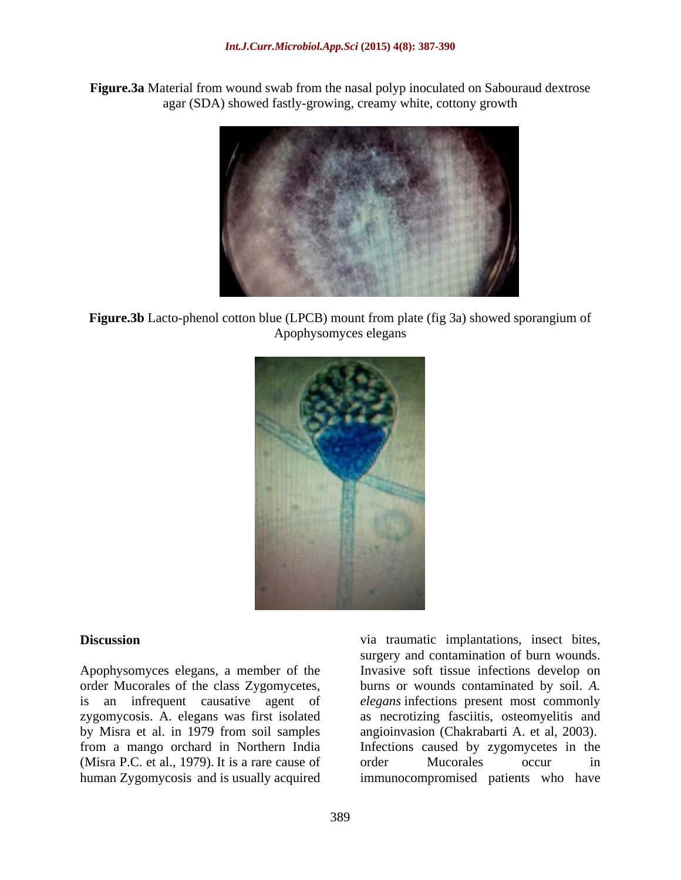**Figure.3a** Material from wound swab from the nasal polyp inoculated on Sabouraud dextrose agar (SDA) showed fastly-growing, creamy white, cottony growth



**Figure.3b** Lacto-phenol cotton blue (LPCB) mount from plate (fig 3a) showed sporangium of Apophysomyces elegans



zygomycosis. A. elegans was first isolated by Misra et al. in 1979 from soil samples from a mango orchard in Northern India (Misra P.C. et al., 1979). It is a rare cause of order Mucorales occur in human Zygomycosis and is usually acquired immunocompromised patients who have

**Discussion** via traumatic implantations, insect bites, Apophysomyces elegans, a member of the Invasive soft tissue infections develop on order Mucorales of the class Zygomycetes, burns or wounds contaminated by soil. *A.*  is an infrequent causative agent of *elegans* infections present most commonly human Zygomycosis and is usually acquired immunocompromised patients who havesurgery and contamination of burn wounds. as necrotizing fasciitis, osteomyelitis and angioinvasion (Chakrabarti A. et al, 2003). Infections caused by zygomycetes in the order Mucorales occur in